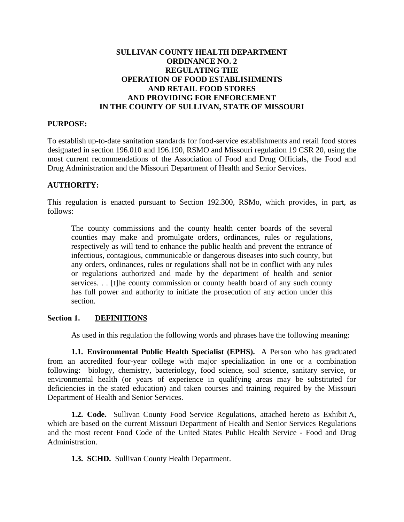## **SULLIVAN COUNTY HEALTH DEPARTMENT ORDINANCE NO. 2 REGULATING THE OPERATION OF FOOD ESTABLISHMENTS AND RETAIL FOOD STORES AND PROVIDING FOR ENFORCEMENT IN THE COUNTY OF SULLIVAN, STATE OF MISSOURI**

#### **PURPOSE:**

To establish up-to-date sanitation standards for food-service establishments and retail food stores designated in section 196.010 and 196.190, RSMO and Missouri regulation 19 CSR 20, using the most current recommendations of the Association of Food and Drug Officials, the Food and Drug Administration and the Missouri Department of Health and Senior Services.

#### **AUTHORITY:**

This regulation is enacted pursuant to Section 192.300, RSMo, which provides, in part, as follows:

The county commissions and the county health center boards of the several counties may make and promulgate orders, ordinances, rules or regulations, respectively as will tend to enhance the public health and prevent the entrance of infectious, contagious, communicable or dangerous diseases into such county, but any orders, ordinances, rules or regulations shall not be in conflict with any rules or regulations authorized and made by the department of health and senior services. . . [t]he county commission or county health board of any such county has full power and authority to initiate the prosecution of any action under this section.

#### **Section 1. DEFINITIONS**

As used in this regulation the following words and phrases have the following meaning:

**1.1. Environmental Public Health Specialist (EPHS).** A Person who has graduated from an accredited four-year college with major specialization in one or a combination following: biology, chemistry, bacteriology, food science, soil science, sanitary service, or environmental health (or years of experience in qualifying areas may be substituted for deficiencies in the stated education) and taken courses and training required by the Missouri Department of Health and Senior Services.

**1.2. Code.** Sullivan County Food Service Regulations, attached hereto as Exhibit A, which are based on the current Missouri Department of Health and Senior Services Regulations and the most recent Food Code of the United States Public Health Service - Food and Drug Administration.

**1.3. SCHD.** Sullivan County Health Department.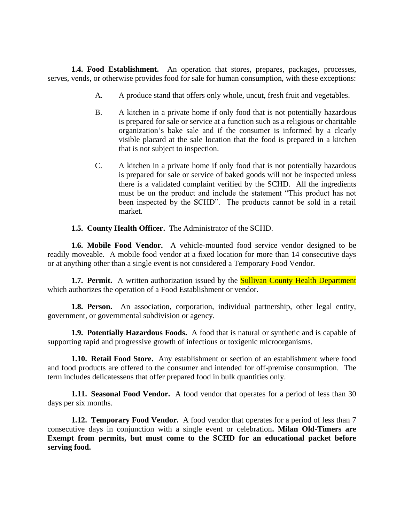**1.4. Food Establishment.** An operation that stores, prepares, packages, processes, serves, vends, or otherwise provides food for sale for human consumption, with these exceptions:

- A. A produce stand that offers only whole, uncut, fresh fruit and vegetables.
- B. A kitchen in a private home if only food that is not potentially hazardous is prepared for sale or service at a function such as a religious or charitable organization's bake sale and if the consumer is informed by a clearly visible placard at the sale location that the food is prepared in a kitchen that is not subject to inspection.
- C. A kitchen in a private home if only food that is not potentially hazardous is prepared for sale or service of baked goods will not be inspected unless there is a validated complaint verified by the SCHD. All the ingredients must be on the product and include the statement "This product has not been inspected by the SCHD". The products cannot be sold in a retail market.
- **1.5. County Health Officer.** The Administrator of the SCHD.

**1.6. Mobile Food Vendor.** A vehicle-mounted food service vendor designed to be readily moveable. A mobile food vendor at a fixed location for more than 14 consecutive days or at anything other than a single event is not considered a Temporary Food Vendor.

**1.7. Permit.** A written authorization issued by the **Sullivan County Health Department** which authorizes the operation of a Food Establishment or vendor.

**1.8. Person.** An association, corporation, individual partnership, other legal entity, government, or governmental subdivision or agency.

**1.9. Potentially Hazardous Foods.** A food that is natural or synthetic and is capable of supporting rapid and progressive growth of infectious or toxigenic microorganisms.

**1.10. Retail Food Store.** Any establishment or section of an establishment where food and food products are offered to the consumer and intended for off-premise consumption. The term includes delicatessens that offer prepared food in bulk quantities only.

**1.11. Seasonal Food Vendor.** A food vendor that operates for a period of less than 30 days per six months.

**1.12. Temporary Food Vendor.** A food vendor that operates for a period of less than 7 consecutive days in conjunction with a single event or celebration**. Milan Old-Timers are Exempt from permits, but must come to the SCHD for an educational packet before serving food.**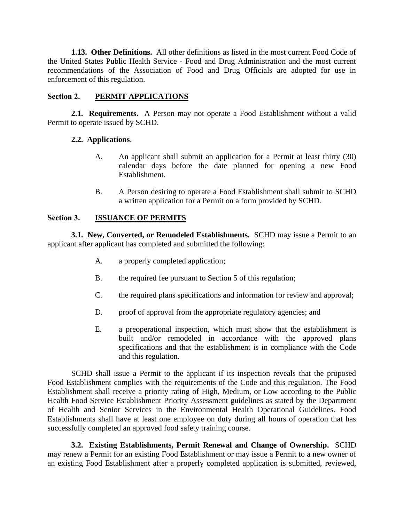**1.13. Other Definitions.** All other definitions as listed in the most current Food Code of the United States Public Health Service - Food and Drug Administration and the most current recommendations of the Association of Food and Drug Officials are adopted for use in enforcement of this regulation.

## **Section 2. PERMIT APPLICATIONS**

**2.1. Requirements.** A Person may not operate a Food Establishment without a valid Permit to operate issued by SCHD.

### **2.2. Applications**.

- A. An applicant shall submit an application for a Permit at least thirty (30) calendar days before the date planned for opening a new Food Establishment.
- B. A Person desiring to operate a Food Establishment shall submit to SCHD a written application for a Permit on a form provided by SCHD.

### **Section 3. ISSUANCE OF PERMITS**

**3.1. New, Converted, or Remodeled Establishments.** SCHD may issue a Permit to an applicant after applicant has completed and submitted the following:

- A. a properly completed application;
- B. the required fee pursuant to Section 5 of this regulation;
- C. the required plans specifications and information for review and approval;
- D. proof of approval from the appropriate regulatory agencies; and
- E. a preoperational inspection, which must show that the establishment is built and/or remodeled in accordance with the approved plans specifications and that the establishment is in compliance with the Code and this regulation.

SCHD shall issue a Permit to the applicant if its inspection reveals that the proposed Food Establishment complies with the requirements of the Code and this regulation. The Food Establishment shall receive a priority rating of High, Medium, or Low according to the Public Health Food Service Establishment Priority Assessment guidelines as stated by the Department of Health and Senior Services in the Environmental Health Operational Guidelines. Food Establishments shall have at least one employee on duty during all hours of operation that has successfully completed an approved food safety training course.

**3.2. Existing Establishments, Permit Renewal and Change of Ownership.** SCHD may renew a Permit for an existing Food Establishment or may issue a Permit to a new owner of an existing Food Establishment after a properly completed application is submitted, reviewed,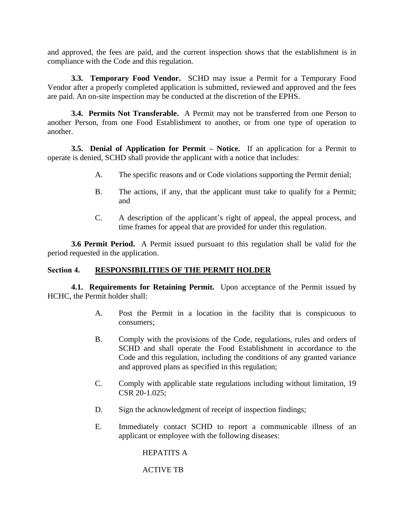and approved, the fees are paid, and the current inspection shows that the establishment is in compliance with the Code and this regulation.

**3.3. Temporary Food Vendor.** SCHD may issue a Permit for a Temporary Food Vendor after a properly completed application is submitted, reviewed and approved and the fees are paid. An on-site inspection may be conducted at the discretion of the EPHS.

**3.4. Permits Not Transferable.** A Permit may not be transferred from one Person to another Person, from one Food Establishment to another, or from one type of operation to another.

**3.5. Denial of Application for Permit – Notice.** If an application for a Permit to operate is denied, SCHD shall provide the applicant with a notice that includes:

- A. The specific reasons and or Code violations supporting the Permit denial;
- B. The actions, if any, that the applicant must take to qualify for a Permit; and
- C. A description of the applicant's right of appeal, the appeal process, and time frames for appeal that are provided for under this regulation.

**3.6 Permit Period.** A Permit issued pursuant to this regulation shall be valid for the period requested in the application.

#### **Section 4. RESPONSIBILITIES OF THE PERMIT HOLDER**

**4.1. Requirements for Retaining Permit.** Upon acceptance of the Permit issued by HCHC, the Permit holder shall:

- A. Post the Permit in a location in the facility that is conspicuous to consumers;
- B. Comply with the provisions of the Code, regulations, rules and orders of SCHD and shall operate the Food Establishment in accordance to the Code and this regulation, including the conditions of any granted variance and approved plans as specified in this regulation;
- C. Comply with applicable state regulations including without limitation, 19 CSR 20-1.025;
- D. Sign the acknowledgment of receipt of inspection findings;
- E. Immediately contact SCHD to report a communicable illness of an applicant or employee with the following diseases:

HEPATITS A

ACTIVE TB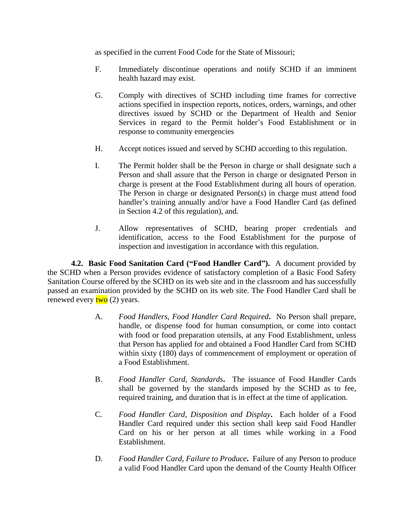as specified in the current Food Code for the State of Missouri;

- F. Immediately discontinue operations and notify SCHD if an imminent health hazard may exist.
- G. Comply with directives of SCHD including time frames for corrective actions specified in inspection reports, notices, orders, warnings, and other directives issued by SCHD or the Department of Health and Senior Services in regard to the Permit holder's Food Establishment or in response to community emergencies
- H. Accept notices issued and served by SCHD according to this regulation.
- I. The Permit holder shall be the Person in charge or shall designate such a Person and shall assure that the Person in charge or designated Person in charge is present at the Food Establishment during all hours of operation. The Person in charge or designated Person(s) in charge must attend food handler's training annually and/or have a Food Handler Card (as defined in Section 4.2 of this regulation), and.
- J. Allow representatives of SCHD, bearing proper credentials and identification, access to the Food Establishment for the purpose of inspection and investigation in accordance with this regulation.

**4.2. Basic Food Sanitation Card ("Food Handler Card").** A document provided by the SCHD when a Person provides evidence of satisfactory completion of a Basic Food Safety Sanitation Course offered by the SCHD on its web site and in the classroom and has successfully passed an examination provided by the SCHD on its web site. The Food Handler Card shall be renewed every  $two$  (2) years.

- A. *Food Handlers, Food Handler Card Required***.** No Person shall prepare, handle, or dispense food for human consumption, or come into contact with food or food preparation utensils, at any Food Establishment, unless that Person has applied for and obtained a Food Handler Card from SCHD within sixty (180) days of commencement of employment or operation of a Food Establishment.
- B. *Food Handler Card, Standards***.** The issuance of Food Handler Cards shall be governed by the standards imposed by the SCHD as to fee, required training, and duration that is in effect at the time of application.
- C. *Food Handler Card, Disposition and Display***.** Each holder of a Food Handler Card required under this section shall keep said Food Handler Card on his or her person at all times while working in a Food Establishment.
- D. *Food Handler Card, Failure to Produce***.** Failure of any Person to produce a valid Food Handler Card upon the demand of the County Health Officer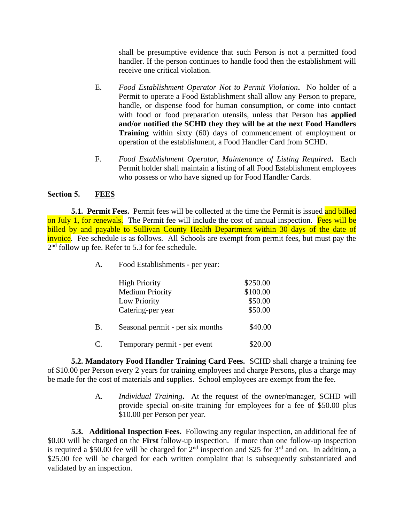shall be presumptive evidence that such Person is not a permitted food handler. If the person continues to handle food then the establishment will receive one critical violation.

- E. *Food Establishment Operator Not to Permit Violation***.** No holder of a Permit to operate a Food Establishment shall allow any Person to prepare, handle, or dispense food for human consumption, or come into contact with food or food preparation utensils, unless that Person has **applied and/or notified the SCHD they they will be at the next Food Handlers Training** within sixty (60) days of commencement of employment or operation of the establishment, a Food Handler Card from SCHD.
- F. *Food Establishment Operator, Maintenance of Listing Required***.** Each Permit holder shall maintain a listing of all Food Establishment employees who possess or who have signed up for Food Handler Cards.

### **Section 5. FEES**

**5.1. Permit Fees.** Permit fees will be collected at the time the Permit is issued and billed on July 1, for renewals. The Permit fee will include the cost of annual inspection. Fees will be billed by and payable to Sullivan County Health Department within 30 days of the date of invoice. Fee schedule is as follows. All Schools are exempt from permit fees, but must pay the  $2<sup>nd</sup>$  follow up fee. Refer to 5.3 for fee schedule.

A. Food Establishments - per year:

|    | <b>High Priority</b><br><b>Medium Priority</b><br>Low Priority<br>Catering-per year | \$250.00<br>\$100.00<br>\$50.00<br>\$50.00 |
|----|-------------------------------------------------------------------------------------|--------------------------------------------|
| B. | Seasonal permit - per six months                                                    | \$40.00                                    |
| C. | Temporary permit - per event                                                        | \$20.00                                    |

**5.2. Mandatory Food Handler Training Card Fees.** SCHD shall charge a training fee of \$10.00 per Person every 2 years for training employees and charge Persons, plus a charge may be made for the cost of materials and supplies. School employees are exempt from the fee.

> A. *Individual Training***.** At the request of the owner/manager, SCHD will provide special on-site training for employees for a fee of \$50.00 plus \$10.00 per Person per year.

**5.3. Additional Inspection Fees.** Following any regular inspection, an additional fee of \$0.00 will be charged on the **First** follow-up inspection. If more than one follow-up inspection is required a \$50.00 fee will be charged for  $2^{nd}$  inspection and \$25 for  $3^{rd}$  and on. In addition, a \$25.00 fee will be charged for each written complaint that is subsequently substantiated and validated by an inspection.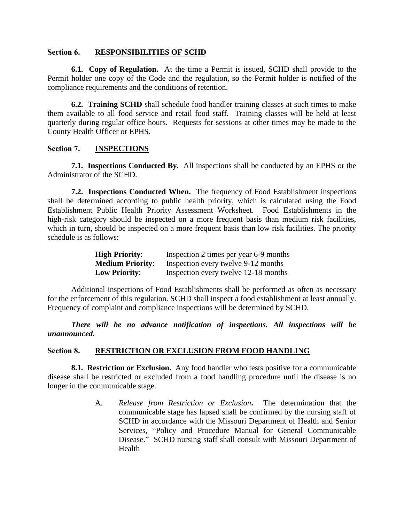#### **Section 6. RESPONSIBILITIES OF SCHD**

**6.1. Copy of Regulation.** At the time a Permit is issued, SCHD shall provide to the Permit holder one copy of the Code and the regulation, so the Permit holder is notified of the compliance requirements and the conditions of retention.

**6.2. Training SCHD** shall schedule food handler training classes at such times to make them available to all food service and retail food staff. Training classes will be held at least quarterly during regular office hours. Requests for sessions at other times may be made to the County Health Officer or EPHS.

### **Section 7. INSPECTIONS**

**7.1. Inspections Conducted By.** All inspections shall be conducted by an EPHS or the Administrator of the SCHD.

**7.2. Inspections Conducted When.** The frequency of Food Establishment inspections shall be determined according to public health priority, which is calculated using the Food Establishment Public Health Priority Assessment Worksheet. Food Establishments in the high-risk category should be inspected on a more frequent basis than medium risk facilities, which in turn, should be inspected on a more frequent basis than low risk facilities. The priority schedule is as follows:

| <b>High Priority:</b>   | Inspection 2 times per year 6-9 months |
|-------------------------|----------------------------------------|
| <b>Medium Priority:</b> | Inspection every twelve 9-12 months    |
| <b>Low Priority:</b>    | Inspection every twelve 12-18 months   |

Additional inspections of Food Establishments shall be performed as often as necessary for the enforcement of this regulation. SCHD shall inspect a food establishment at least annually. Frequency of complaint and compliance inspections will be determined by SCHD.

*There will be no advance notification of inspections. All inspections will be unannounced.*

#### **Section 8. RESTRICTION OR EXCLUSION FROM FOOD HANDLING**

**8.1. Restriction or Exclusion.** Any food handler who tests positive for a communicable disease shall be restricted or excluded from a food handling procedure until the disease is no longer in the communicable stage.

> A. *Release from Restriction or Exclusion***.** The determination that the communicable stage has lapsed shall be confirmed by the nursing staff of SCHD in accordance with the Missouri Department of Health and Senior Services, "Policy and Procedure Manual for General Communicable Disease." SCHD nursing staff shall consult with Missouri Department of Health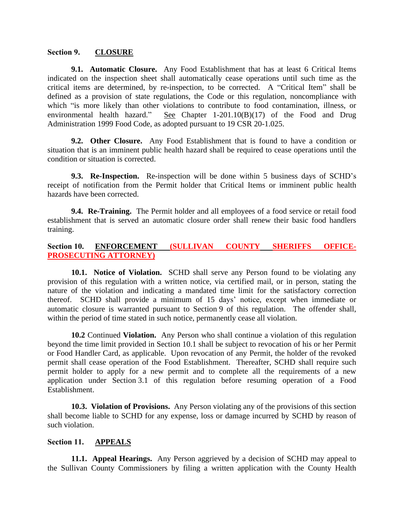#### **Section 9. CLOSURE**

**9.1. Automatic Closure.** Any Food Establishment that has at least 6 Critical Items indicated on the inspection sheet shall automatically cease operations until such time as the critical items are determined, by re-inspection, to be corrected. A "Critical Item" shall be defined as a provision of state regulations, the Code or this regulation, noncompliance with which "is more likely than other violations to contribute to food contamination, illness, or environmental health hazard." See Chapter 1-201.10(B)(17) of the Food and Drug Administration 1999 Food Code, as adopted pursuant to 19 CSR 20-1.025.

**9.2. Other Closure.** Any Food Establishment that is found to have a condition or situation that is an imminent public health hazard shall be required to cease operations until the condition or situation is corrected.

**9.3. Re-Inspection.** Re-inspection will be done within 5 business days of SCHD's receipt of notification from the Permit holder that Critical Items or imminent public health hazards have been corrected.

**9.4. Re-Training.** The Permit holder and all employees of a food service or retail food establishment that is served an automatic closure order shall renew their basic food handlers training.

### **Section 10. ENFORCEMENT (SULLIVAN COUNTY SHERIFFS OFFICE-PROSECUTING ATTORNEY)**

**10.1. Notice of Violation.** SCHD shall serve any Person found to be violating any provision of this regulation with a written notice, via certified mail, or in person, stating the nature of the violation and indicating a mandated time limit for the satisfactory correction thereof. SCHD shall provide a minimum of 15 days' notice, except when immediate or automatic closure is warranted pursuant to Section 9 of this regulation. The offender shall, within the period of time stated in such notice, permanently cease all violation.

**10.2** Continued **Violation.** Any Person who shall continue a violation of this regulation beyond the time limit provided in Section 10.1 shall be subject to revocation of his or her Permit or Food Handler Card, as applicable. Upon revocation of any Permit, the holder of the revoked permit shall cease operation of the Food Establishment. Thereafter, SCHD shall require such permit holder to apply for a new permit and to complete all the requirements of a new application under Section 3.1 of this regulation before resuming operation of a Food Establishment.

**10.3. Violation of Provisions.** Any Person violating any of the provisions of this section shall become liable to SCHD for any expense, loss or damage incurred by SCHD by reason of such violation.

#### **Section 11. APPEALS**

**11.1. Appeal Hearings.** Any Person aggrieved by a decision of SCHD may appeal to the Sullivan County Commissioners by filing a written application with the County Health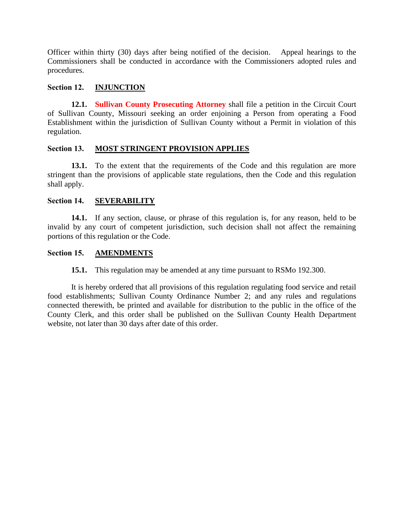Officer within thirty (30) days after being notified of the decision. Appeal hearings to the Commissioners shall be conducted in accordance with the Commissioners adopted rules and procedures.

### **Section 12. INJUNCTION**

**12.1. Sullivan County Prosecuting Attorney** shall file a petition in the Circuit Court of Sullivan County, Missouri seeking an order enjoining a Person from operating a Food Establishment within the jurisdiction of Sullivan County without a Permit in violation of this regulation.

### **Section 13. MOST STRINGENT PROVISION APPLIES**

**13.1.** To the extent that the requirements of the Code and this regulation are more stringent than the provisions of applicable state regulations, then the Code and this regulation shall apply.

### **Section 14. SEVERABILITY**

**14.1.** If any section, clause, or phrase of this regulation is, for any reason, held to be invalid by any court of competent jurisdiction, such decision shall not affect the remaining portions of this regulation or the Code.

#### **Section 15. AMENDMENTS**

**15.1.** This regulation may be amended at any time pursuant to RSMo 192.300.

It is hereby ordered that all provisions of this regulation regulating food service and retail food establishments; Sullivan County Ordinance Number 2; and any rules and regulations connected therewith, be printed and available for distribution to the public in the office of the County Clerk, and this order shall be published on the Sullivan County Health Department website, not later than 30 days after date of this order.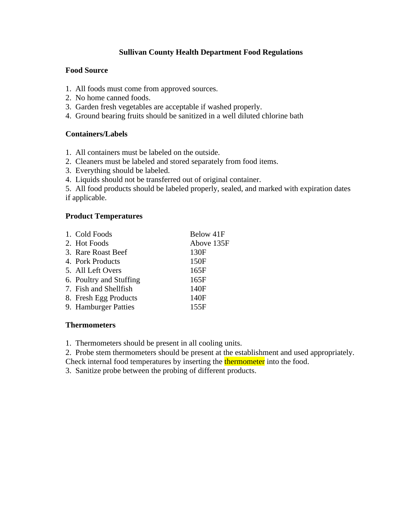# **Sullivan County Health Department Food Regulations**

### **Food Source**

- 1. All foods must come from approved sources.
- 2. No home canned foods.
- 3. Garden fresh vegetables are acceptable if washed properly.
- 4. Ground bearing fruits should be sanitized in a well diluted chlorine bath

## **Containers/Labels**

- 1. All containers must be labeled on the outside.
- 2. Cleaners must be labeled and stored separately from food items.
- 3. Everything should be labeled.
- 4. Liquids should not be transferred out of original container.

5. All food products should be labeled properly, sealed, and marked with expiration dates if applicable.

### **Product Temperatures**

| 1. Cold Foods           | Below 41F  |
|-------------------------|------------|
| 2. Hot Foods            | Above 135F |
| 3. Rare Roast Beef      | 130F       |
| 4. Pork Products        | 150F       |
| 5. All Left Overs       | 165F       |
| 6. Poultry and Stuffing | 165F       |
| 7. Fish and Shellfish   | 140F       |
| 8. Fresh Egg Products   | 140F       |
| 9. Hamburger Patties    | 155F       |

# **Thermometers**

- 1. Thermometers should be present in all cooling units.
- 2. Probe stem thermometers should be present at the establishment and used appropriately.
- Check internal food temperatures by inserting the **thermometer** into the food.
- 3. Sanitize probe between the probing of different products.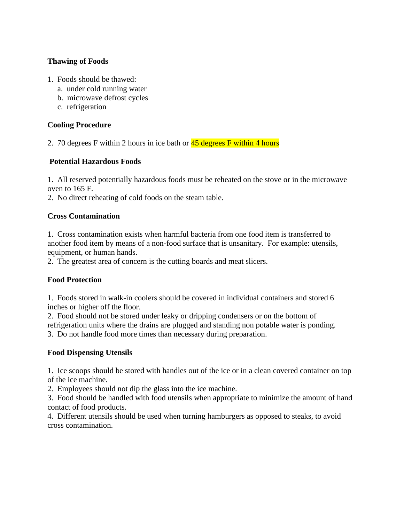# **Thawing of Foods**

- 1. Foods should be thawed:
	- a. under cold running water
	- b. microwave defrost cycles
	- c. refrigeration

# **Cooling Procedure**

2. 70 degrees F within 2 hours in ice bath or  $\frac{45 \text{ degrees}}{15}$  within 4 hours

# **Potential Hazardous Foods**

1. All reserved potentially hazardous foods must be reheated on the stove or in the microwave oven to 165 F.

2. No direct reheating of cold foods on the steam table.

# **Cross Contamination**

1. Cross contamination exists when harmful bacteria from one food item is transferred to another food item by means of a non-food surface that is unsanitary. For example: utensils, equipment, or human hands.

2. The greatest area of concern is the cutting boards and meat slicers.

# **Food Protection**

1. Foods stored in walk-in coolers should be covered in individual containers and stored 6 inches or higher off the floor.

2. Food should not be stored under leaky or dripping condensers or on the bottom of refrigeration units where the drains are plugged and standing non potable water is ponding. 3. Do not handle food more times than necessary during preparation.

# **Food Dispensing Utensils**

1. Ice scoops should be stored with handles out of the ice or in a clean covered container on top of the ice machine.

2. Employees should not dip the glass into the ice machine.

3. Food should be handled with food utensils when appropriate to minimize the amount of hand contact of food products.

4. Different utensils should be used when turning hamburgers as opposed to steaks, to avoid cross contamination.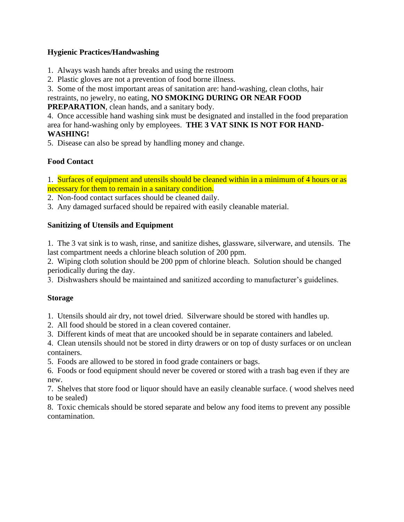# **Hygienic Practices/Handwashing**

- 1. Always wash hands after breaks and using the restroom
- 2. Plastic gloves are not a prevention of food borne illness.
- 3. Some of the most important areas of sanitation are: hand-washing, clean cloths, hair

restraints, no jewelry, no eating, **NO SMOKING DURING OR NEAR FOOD** 

**PREPARATION**, clean hands, and a sanitary body.

4. Once accessible hand washing sink must be designated and installed in the food preparation area for hand-washing only by employees. **THE 3 VAT SINK IS NOT FOR HAND-WASHING!**

5. Disease can also be spread by handling money and change.

# **Food Contact**

1. Surfaces of equipment and utensils should be cleaned within in a minimum of 4 hours or as necessary for them to remain in a sanitary condition.

- 2. Non-food contact surfaces should be cleaned daily.
- 3. Any damaged surfaced should be repaired with easily cleanable material.

# **Sanitizing of Utensils and Equipment**

1. The 3 vat sink is to wash, rinse, and sanitize dishes, glassware, silverware, and utensils. The last compartment needs a chlorine bleach solution of 200 ppm.

2. Wiping cloth solution should be 200 ppm of chlorine bleach. Solution should be changed periodically during the day.

3. Dishwashers should be maintained and sanitized according to manufacturer's guidelines.

# **Storage**

1. Utensils should air dry, not towel dried. Silverware should be stored with handles up.

- 2. All food should be stored in a clean covered container.
- 3. Different kinds of meat that are uncooked should be in separate containers and labeled.

4. Clean utensils should not be stored in dirty drawers or on top of dusty surfaces or on unclean containers.

5. Foods are allowed to be stored in food grade containers or bags.

6. Foods or food equipment should never be covered or stored with a trash bag even if they are new.

7. Shelves that store food or liquor should have an easily cleanable surface. ( wood shelves need to be sealed)

8. Toxic chemicals should be stored separate and below any food items to prevent any possible contamination.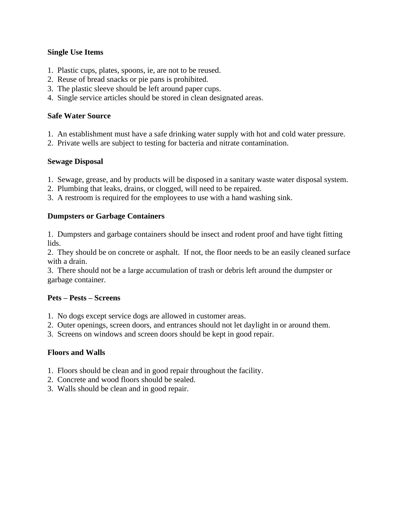### **Single Use Items**

- 1. Plastic cups, plates, spoons, ie, are not to be reused.
- 2. Reuse of bread snacks or pie pans is prohibited.
- 3. The plastic sleeve should be left around paper cups.
- 4. Single service articles should be stored in clean designated areas.

### **Safe Water Source**

- 1. An establishment must have a safe drinking water supply with hot and cold water pressure.
- 2. Private wells are subject to testing for bacteria and nitrate contamination.

### **Sewage Disposal**

- 1. Sewage, grease, and by products will be disposed in a sanitary waste water disposal system.
- 2. Plumbing that leaks, drains, or clogged, will need to be repaired.
- 3. A restroom is required for the employees to use with a hand washing sink.

#### **Dumpsters or Garbage Containers**

1. Dumpsters and garbage containers should be insect and rodent proof and have tight fitting lids.

2. They should be on concrete or asphalt. If not, the floor needs to be an easily cleaned surface with a drain.

3. There should not be a large accumulation of trash or debris left around the dumpster or garbage container.

# **Pets – Pests – Screens**

- 1. No dogs except service dogs are allowed in customer areas.
- 2. Outer openings, screen doors, and entrances should not let daylight in or around them.
- 3. Screens on windows and screen doors should be kept in good repair.

#### **Floors and Walls**

- 1. Floors should be clean and in good repair throughout the facility.
- 2. Concrete and wood floors should be sealed.
- 3. Walls should be clean and in good repair.